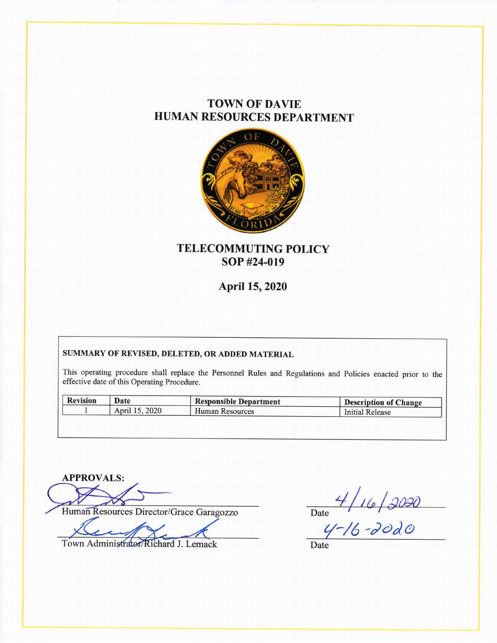# **TOWN OF DAVIE HUMAN RESOURCES DEPARTMENT**



# **TELECOMMUTING POLICY** SOP #24-019

**April 15, 2020** 

# SUMMARY OF REVISED, DELETED, OR ADDED MATERIAL

This operating procedure shall replace the Personnel Rules and Regulations and Policies enacted prior to the effective date of this Operating Procedure.

| <b>Revision</b> | Date           | <b>Responsible Department</b> | <b>Description of Change</b><br>Initial Release |  |
|-----------------|----------------|-------------------------------|-------------------------------------------------|--|
|                 | April 15, 2020 | Human Resources               |                                                 |  |

**APPROVALS:** Human Resources Director/Grace Garagozzo

Date 4/16/2020<br>116-2020<br>Date

Town Administrator/Richard J. Lemack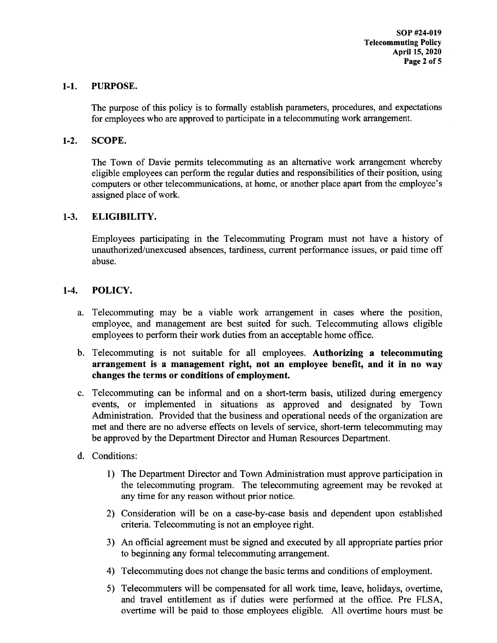#### PURPOSE.  $1-1.$

The purpose of this policy is to formally establish parameters, procedures, and expectations for employees who are approved to participate in a telecommuting work arrangement.

#### **SCOPE.**  $1 - 2.$

The Town of Davie permits telecommuting as an alternative work arrangement whereby eligible employees can perform the regular duties and responsibilities of their position, using computers or other telecommunications, at home, or another place apart from the employee's assigned place of work.

#### $1 - 3.$ **ELIGIBILITY.**

Employees participating in the Telecommuting Program must not have a history of unauthorized/unexcused absences, tardiness, current performance issues, or paid time off abuse.

#### $1-4.$ POLICY.

- a. Telecommuting may be a viable work arrangement in cases where the position, employee, and management are best suited for such. Telecommuting allows eligible employees to perform their work duties from an acceptable home office.
- b. Telecommuting is not suitable for all employees. Authorizing a telecommuting arrangement is a management right, not an employee benefit, and it in no way changes the terms or conditions of employment.
- $c_{\cdot}$ Telecommuting can be informal and on a short-term basis, utilized during emergency events, or implemented in situations as approved and designated by Town Administration. Provided that the business and operational needs of the organization are met and there are no adverse effects on levels of service, short-term telecommuting may be approved by the Department Director and Human Resources Department.
- d. Conditions:
	- 1) The Department Director and Town Administration must approve participation in the telecommuting program. The telecommuting agreement may be revoked at any time for any reason without prior notice.
	- 2) Consideration will be on a case-by-case basis and dependent upon established criteria. Telecommuting is not an employee right.
	- 3) An official agreement must be signed and executed by all appropriate parties prior to beginning any formal telecommuting arrangement.
	- 4) Telecommuting does not change the basic terms and conditions of employment.
	- 5) Telecommuters will be compensated for all work time, leave, holidays, overtime, and travel entitlement as if duties were performed at the office. Pre FLSA, overtime will be paid to those employees eligible. All overtime hours must be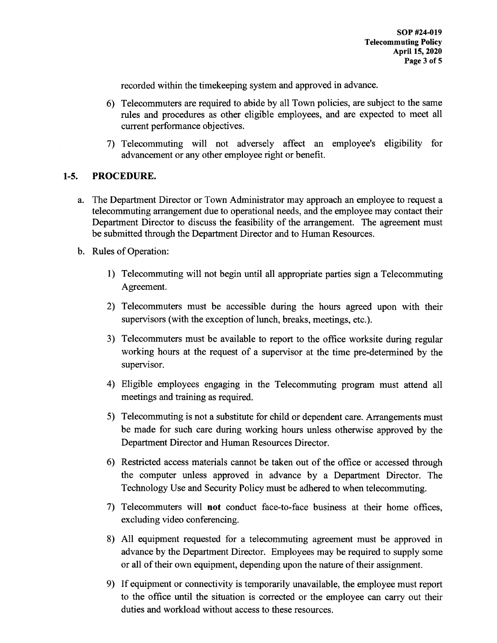recorded within the time keeping system and approved in advance.

- 6) Telecommuters are required to abide by all Town policies, are subject to the same rules and procedures as other eligible employees, and are expected to meet all current performance objectives.
- 7) Telecommuting will not adversely affect an employee's eligibility for advancement or any other employee right or benefit.

#### $1-5.$ PROCEDURE.

- a. The Department Director or Town Administrator may approach an employee to request a telecommuting arrangement due to operational needs, and the employee may contact their Department Director to discuss the feasibility of the arrangement. The agreement must be submitted through the Department Director and to Human Resources.
- b. Rules of Operation:
	- 1) Telecommuting will not begin until all appropriate parties sign a Telecommuting Agreement.
	- 2) Telecommuters must be accessible during the hours agreed upon with their supervisors (with the exception of lunch, breaks, meetings, etc.).
	- 3) Telecommuters must be available to report to the office worksite during regular working hours at the request of a supervisor at the time pre-determined by the supervisor.
	- 4) Eligible employees engaging in the Telecommuting program must attend all meetings and training as required.
	- 5) Telecommuting is not a substitute for child or dependent care. Arrangements must be made for such care during working hours unless otherwise approved by the Department Director and Human Resources Director.
	- 6) Restricted access materials cannot be taken out of the office or accessed through the computer unless approved in advance by a Department Director. The Technology Use and Security Policy must be adhered to when telecommuting.
	- 7) Telecommuters will not conduct face-to-face business at their home offices, excluding video conferencing.
	- 8) All equipment requested for a telecommuting agreement must be approved in advance by the Department Director. Employees may be required to supply some or all of their own equipment, depending upon the nature of their assignment.
	- 9) If equipment or connectivity is temporarily unavailable, the employee must report to the office until the situation is corrected or the employee can carry out their duties and workload without access to these resources.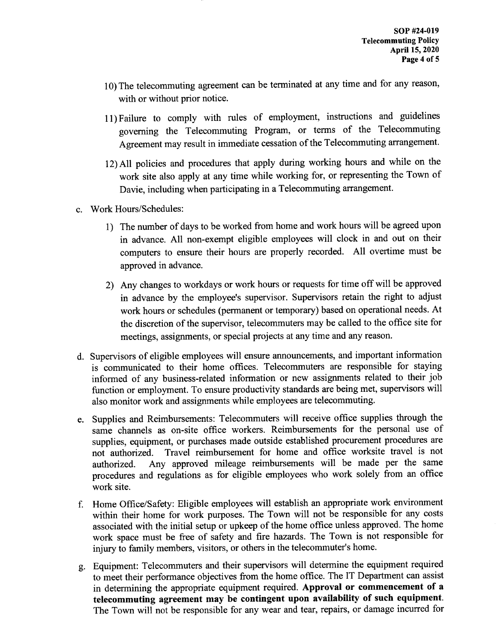- 10) The telecommuting agreement can be terminated at any time and for any reason, with or without prior notice.
- 11) Failure to comply with rules of employment, instructions and guidelines governing the Telecommuting Program, or terms of the Telecommuting Agreement may result in immediate cessation of the Telecommuting arrangement.
- 12) All policies and procedures that apply during working hours and while on the work site also apply at any time while working for, or representing the Town of Davie, including when participating in a Telecommuting arrangement.
- c. Work Hours/Schedules:
	- 1) The number of days to be worked from home and work hours will be agreed upon in advance. All non-exempt eligible employees will clock in and out on their computers to ensure their hours are properly recorded. All overtime must be approved in advance.
	- 2) Any changes to workdays or work hours or requests for time off will be approved in advance by the employee's supervisor. Supervisors retain the right to adjust work hours or schedules (permanent or temporary) based on operational needs. At the discretion of the supervisor, telecommuters may be called to the office site for meetings, assignments, or special projects at any time and any reason.
- d. Supervisors of eligible employees will ensure announcements, and important information is communicated to their home offices. Telecommuters are responsible for staying informed of any business-related information or new assignments related to their job function or employment. To ensure productivity standards are being met, supervisors will also monitor work and assignments while employees are telecommuting.
- e. Supplies and Reimbursements: Telecommuters will receive office supplies through the same channels as on-site office workers. Reimbursements for the personal use of supplies, equipment, or purchases made outside established procurement procedures are Travel reimbursement for home and office worksite travel is not not authorized. Any approved mileage reimbursements will be made per the same authorized. procedures and regulations as for eligible employees who work solely from an office work site.
- Home Office/Safety: Eligible employees will establish an appropriate work environment f. within their home for work purposes. The Town will not be responsible for any costs associated with the initial setup or upkeep of the home office unless approved. The home work space must be free of safety and fire hazards. The Town is not responsible for injury to family members, visitors, or others in the telecommuter's home.
- Equipment: Telecommuters and their supervisors will determine the equipment required g. to meet their performance objectives from the home office. The IT Department can assist in determining the appropriate equipment required. Approval or commencement of a telecommuting agreement may be contingent upon availability of such equipment. The Town will not be responsible for any wear and tear, repairs, or damage incurred for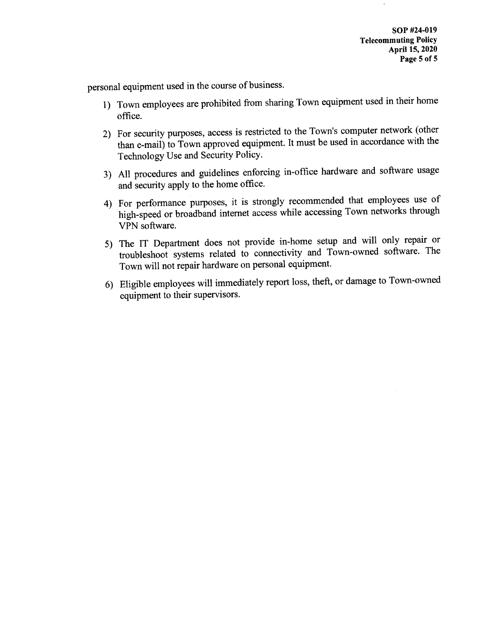personal equipment used in the course of business.

- 1) Town employees are prohibited from sharing Town equipment used in their home office.
- 2) For security purposes, access is restricted to the Town's computer network (other than e-mail) to Town approved equipment. It must be used in accordance with the Technology Use and Security Policy.
- 3) All procedures and guidelines enforcing in-office hardware and software usage and security apply to the home office.
- 4) For performance purposes, it is strongly recommended that employees use of high-speed or broadband internet access while accessing Town networks through VPN software.
- 5) The IT Department does not provide in-home setup and will only repair or troubleshoot systems related to connectivity and Town-owned software. The Town will not repair hardware on personal equipment.
- 6) Eligible employees will immediately report loss, theft, or damage to Town-owned equipment to their supervisors.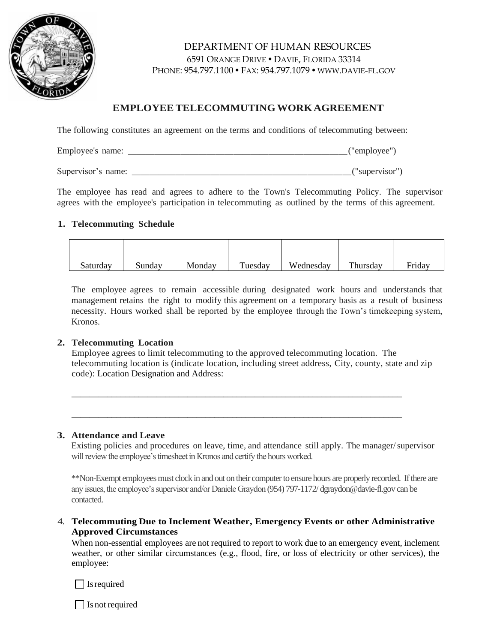

# DEPARTMENT OF HUMAN RESOURCES

6591 ORANGE DRIVE DAVIE, FLORIDA 33314 PHONE: 954.797.1100 • FAX: 954.797.1079 • WWW.DAVIE-FL.GOV

# **EMPLOYEE TELECOMMUTING WORK AGREEMENT**

The following constitutes an agreement on the terms and conditions of telecommuting between:

Employee's name: \_\_\_\_\_\_\_\_\_\_\_\_\_\_\_\_\_\_\_\_\_\_\_\_\_("employee")

Supervisor's name: \_\_\_\_\_\_\_\_\_\_\_\_\_\_\_\_\_\_\_\_\_\_\_\_\_("supervisor")

The employee has read and agrees to adhere to the Town's Telecommuting Policy. The supervisor agrees with the employee's participation in telecommuting as outlined by the terms of this agreement.

# **1. Telecommuting Schedule**

| Saturday | Sunday | Monday | Tuesday | Wednesday | Thursday | Friday |
|----------|--------|--------|---------|-----------|----------|--------|

The employee agrees to remain accessible during designated work hours and understands that management retains the right to modify this agreement on a temporary basis as a result of business necessity. Hours worked shall be reported by the employee through the Town's timekeeping system, Kronos.

# **2. Telecommuting Location**

Employee agrees to limit telecommuting to the approved telecommuting location. The telecommuting location is (indicate location, including street address, City, county, state and zip code): Location Designation and Address:

\_\_\_\_\_\_\_\_\_\_\_\_\_\_\_\_\_\_\_\_\_\_\_\_\_\_\_\_\_\_\_\_\_\_\_\_\_\_\_\_\_\_\_\_\_\_\_\_\_\_\_\_\_\_\_\_\_\_\_\_\_\_\_\_\_\_\_\_\_\_\_\_\_\_

\_\_\_\_\_\_\_\_\_\_\_\_\_\_\_\_\_\_\_\_\_\_\_\_\_\_\_\_\_\_\_\_\_\_\_\_\_\_\_\_\_\_\_\_\_\_\_\_\_\_\_\_\_\_\_\_\_\_\_\_\_\_\_\_\_\_\_\_\_\_\_\_\_\_

# **3. Attendance and Leave**

Existing policies and procedures on leave, time, and attendance still apply. The manager/supervisor will review the employee's timesheet in Kronos and certify the hours worked.

\*\*Non-Exempt employees must clock in and out on their computer to ensure hours are properly recorded. If there are any issues, the employee's supervisor and/or Daniele Graydon (954) 797-1172/ dgraydon@davie-fl.gov can be contacted.

# 4. **Telecommuting Due to Inclement Weather, Emergency Events or other Administrative Approved Circumstances**

When non-essential employees are not required to report to work due to an emergency event, inclement weather, or other similar circumstances (e.g., flood, fire, or loss of electricity or other services), the employee:

 $\Box$  Is required

 $\Box$  Is not required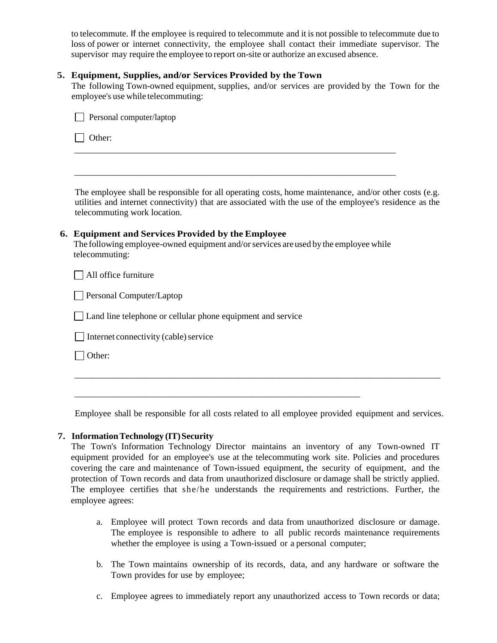to telecommute. If the employee isrequired to telecommute and it is not possible to telecommute due to loss of power or internet connectivity, the employee shall contact their immediate supervisor. The supervisor may require the employee to report on-site or authorize an excused absence.

### **5. Equipment, Supplies, and/or Services Provided by the Town**

The following Town-owned equipment, supplies, and/or services are provided by the Town for the employee's use while telecommuting:

Personal computer/laptop

□ Other:

The employee shall be responsible for all operating costs, home maintenance, and/or other costs (e.g. utilities and internet connectivity) that are associated with the use of the employee's residence as the telecommuting work location.

### **6. Equipment and Services Provided by the Employee**

The following employee-owned equipment and/or services are used by the employee while telecommuting:

\_\_\_\_\_\_\_\_\_\_\_\_\_\_\_\_\_\_\_\_\_\_\_\_\_\_\_\_\_\_\_\_\_\_\_\_\_\_\_\_\_\_\_\_\_\_\_\_\_\_\_\_\_\_\_\_\_\_\_\_\_\_\_\_\_\_\_\_\_\_\_\_

\_\_\_\_\_\_\_\_\_\_\_\_\_\_\_\_\_\_\_\_\_\_\_\_\_\_\_\_\_\_\_\_\_\_\_\_\_\_\_\_\_\_\_\_\_\_\_\_\_\_\_\_\_\_\_\_\_\_\_\_\_\_\_\_\_\_\_\_\_\_\_\_

 $\Box$  All office furniture

Personal Computer/Laptop

□ Land line telephone or cellular phone equipment and service

\_\_\_\_\_\_\_\_\_\_\_\_\_\_\_\_\_\_\_\_\_\_\_\_\_\_\_\_\_\_\_\_\_\_\_\_\_\_\_\_\_\_\_\_\_\_\_\_\_\_\_\_\_\_\_\_\_\_\_\_\_\_\_\_

 $\Box$  Internet connectivity (cable) service

 $\Box$  Other:

Employee shall be responsible for all costs related to all employee provided equipment and services.

\_\_\_\_\_\_\_\_\_\_\_\_\_\_\_\_\_\_\_\_\_\_\_\_\_\_\_\_\_\_\_\_\_\_\_\_\_\_\_\_\_\_\_\_\_\_\_\_\_\_\_\_\_\_\_\_\_\_\_\_\_\_\_\_\_\_\_\_\_\_\_\_\_\_\_\_\_\_\_\_\_\_

### **7. InformationTechnology (IT)Security**

The Town's Information Technology Director maintains an inventory of any Town-owned IT equipment provided for an employee's use at the telecommuting work site. Policies and procedures covering the care and maintenance of Town-issued equipment, the security of equipment, and the protection of Town records and data from unauthorized disclosure or damage shall be strictly applied. The employee certifies that she/he understands the requirements and restrictions. Further, the employee agrees:

- a. Employee will protect Town records and data from unauthorized disclosure or damage. The employee is responsible to adhere to all public records maintenance requirements whether the employee is using a Town-issued or a personal computer;
- b. The Town maintains ownership of its records, data, and any hardware or software the Town provides for use by employee;
- c. Employee agrees to immediately report any unauthorized access to Town records or data;